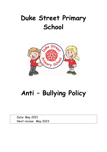# **Duke Street Primary School**



# **Anti – Bullying Policy**

Date: May 2021 Next review: May 2023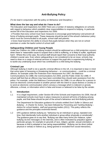# **Anti-Bullying Policy**

(To be read in conjunction with the policy on Behaviour and Discipline.)

# **What does the law say and what do I have to do?**

The Education and Inspections Act 2006 There are a number of statutory obligations on schools with regard to behaviour which establish clear responsibilities to respond to bullying. In particular section 89 of the Education and Inspections Act 2006:

 Provides that every school must have measures to encourage good behaviour and prevent all forms of bullying amongst pupils. These measures should be part of the school's behaviour policy which must be communicated to all pupils, school staff and parents;

 Gives head teachers the ability to ensure that pupils behave when they are not on school premises or under the lawful control of school staff.

#### **Safeguarding Children and Young People**

Under the Children Act 1989 a bullying incident should be addressed as a child protection concern when there is 'reasonable cause to suspect that a child is suffering, or is likely to suffer, significant harm'. Where this is the case, the school staff should report their concerns to their local authority children's social care. Even where safeguarding is not considered to be an issue, schools may need to draw on a range of external services to support the pupil who is experiencing bullying, or to tackle any underlying issue which has contributed to a child doing the bullying.

# **Criminal Law**

Although bullying in itself is not a specific criminal offence in the UK, it is important to bear in mind that some types of harassing or threatening behaviour – or communications – could be a criminal offence, for example under the Protection from Harassment Act 1997, the Malicious Communications Act 1988, the Communications Act 2003, and the Public Order Act 1986. If school staff feel that an offence may have been committed they should seek assistance from the police. For example, under the Malicious Communication Act 1988, it is an offence for a person to send an electronic communication to another person with the intent to cause distress or anxiety or to send an electronic communication which conveys a message which is indecent or grossly offensive, a threat, or information which is false and known or believed to be false by the sender.

#### **1 Introduction**

1.1 It is a legal requirement, under Section 89 of the Schools and Inspections Act 2006, that all maintained schools must have in place measures to prevent all forms of bullying among pupils, and that these should be part of the school's behaviour and Anti-Bullying policies.

The Department for Education guidance for schools entitled *Don't Suffer in Silence and Bullying – A Charter for Action*, has been followed by *Preventing and Tackling Bullying – Advice for school leaders, staff and governing bodies (2011).* This policy reflects this guidance and the principles enshrined therein.

1.2 DFE guidance defines bullying as: "behaviour by an individual or group, repeated over time, that intentionally hurts another individual or group either physically or emotionally". The guidance goes on to say that, "Bullying can take many forms (for instance, cyberbullying via text messages or the internet), and is often motivated by prejudice against particular groups, for example on grounds of race, religion, gender, sexual orientation, or because a child is adopted or has caring responsibilities". Bullying can be direct (either physical or verbal) or indirect (e.g. being ignored or excluded from social interaction).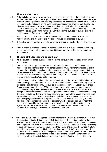# **2 Aims and objectives**

- 2.1 Bullying is behaviour by an individual or group, repeated over time, that intentionally hurts another individual or group either physically or emotionally. Bullying is wrong and damages children. Stopping violence and ensuring immediate physical safety is obviously a school's first priority but emotional bullying can be more damaging than physical. We therefore do all we can to prevent it, by developing a school ethos in which bullying is properly understood and regarded as wholly unacceptable. We teach PSHE on a weekly basis and within this cover anti-bullying, making clear: What bullying is, types of bullying and what pupils should do if they are being bullied
- 2.2 We aim, as a school, to produce a safe and secure environment where all can learn without anxiety, and measures are in place to reduce the likelihood of bullying.
- 2.3 This policy aims to produce a consistent school response to any bullying incidents that may occur.
- 2.4 We aim to make all those connected with the school aware of our opposition to bullying, and we make clear each person's responsibilities with regard to the eradication of bullying in our school.

# **3 The role of the teacher and support staff**

- 3.1 All the staff in our school take all forms of bullying seriously, and seek to prevent it from taking place.
- 3.2 Teachers record all significant incidents that happen in their class, and if they have witnessed a significant incident in the school using CPOMs. If teachers witness an act of bullying, they will either investigate it themselves or refer it to the senior leadership team (SLT). Teachers and support staff do all they can to support the child who is being bullied. If a child is being bullied over a period of time, then, after consultation with the SLT, the teacher informs the child's parents or carers.
- 3.3 Using CPOMs, staff should record all incidents of bullying that occur both in and out of class. Bullying Outside School Premises Head teachers have a specific statutory power to discipline pupils for poor behaviour outside of the school premises. Section 89(5) of the Education and Inspections Act 2006 gives head teachers the power to regulate pupils' conduct when they are not on school premises and are not under the lawful control or charge of a member of school staff (this legislation does not apply to independent schools). This can relate to any bullying incidents occurring anywhere off the school premises, such as on school or public transport, outside the local shops, or in a town or village centre. Where bullying outside school is reported to school staff, it should be investigated and acted on. The head teacher should also consider whether it is appropriate to notify the police or anti-social behaviour coordinator in their local authority of the actions taken against a pupil. If the misbehaviour could be criminal or poses a serious threat to a member of the public, the police should always be informed.
- 3.4 When any bullying has taken place between members of a class, the teacher will deal with the issue immediately. This will involve fully investigation the situation, and may then involve informal counselling and support for the victim, and taking direct preventative action with the perpetrator. Time is spent talking to the child who has done the bullying, explaining to them why their action was wrong and how they should change their behaviour in future. If a child is repeatedly involved in bullying, we inform the SLT, DSL, the lead professional on behaviour and, in some cases, the special needs co-ordinator (SENCO). We then invite the child's parents or carers into the school to discuss the situation. In more extreme cases, e.g. where these initial discussions have proved ineffective, the headteacher /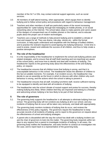member of the SLT or DSL may contact external support agencies, such as social services.

- 3.5 All members of staff attend training, when appropriate, which equips them to identify bullying and to follow school policy and procedures with regard to behaviour management.
- 3.6 Teachers and other members of staff are particularly aware of the recent increasing opportunities for 'cyber bullying' through text messaging on mobile phones, or on social networking sites on the Internet. The school takes steps to make parents and carers aware of the dangers of unsupervised use of mobiles phones or the Internet, and to educate pupils about the proper use of modern technologies.
- 3.7 Teachers use a range of methods to help prevent bullying and to establish a climate of trust and respect for all. They use drama, role-play, stories etc., within the formal curriculum, to help pupils understand and empathise with the feelings of bullied children, and to practise the restraint required to avoid lapsing into bullying behaviour. Circle time is used to praise, reward and celebrate the success of all children, and thus to help create a positive atmosphere.

#### **4 The role of the headteacher**

- 4.1 It is the responsibility of the headteacher to implement the school anti-bullying policies and related strategies, and to ensure that all staff (both teaching and non-teaching) are aware of the school policy, and know how to identify and deal with incidents of bullying. The headteacher reports to the governing body about the effectiveness of the anti-bullying policy, on request.
- 4.2 The headteacher ensures that all children know that bullying is wrong, and that it is unacceptable behaviour in this school. The headteacher draws the attention of children to this fact at suitable moments. For example, if an incident occurs, the headteacher may decide to use an assembly as the forum in which to discuss with other children why such behaviour is wrong, and the actions which the school is taking to prevent it.
- 4.3 The headteacher ensures that all staff, including lunchtime staff, receive sufficient training to be equipped to identify and deal with all incidents of bullying.
- 4.4 The headteacher sets the school climate of mutual support and praise for success, thereby making bullying less likely. When children feel they are important and belong to a friendly and welcoming school, bullying is far less likely to be part of their behaviour.

# **5 The role of governors**

- 5.1 The governing body supports the headteacher in all attempts to eliminate bullying from our school. The governing body will not condone any bullying at all in our school, and any incidents of bullying that do occur will be taken very seriously, and dealt with appropriately.
- 5.2 The governing body monitors incidents of bullying that do occur, and reviews the effectiveness of this policy regularly. The governors require the headteacher to keep accurate records of all incidents of bullying, and to report to the governors on request about the effectiveness of school anti-bullying strategies.
- 5.3 A parent who is dissatisfied with the way the school has dealt with a bullying incident can ask the chair of governors to look into the matter. The governing body responds within ten days to any request from a parent to investigate incidents of bullying. In all cases, the governing body notifies the headteacher, and asks him/her to conduct an investigation into the case, and to report back to a representative of the governing body.